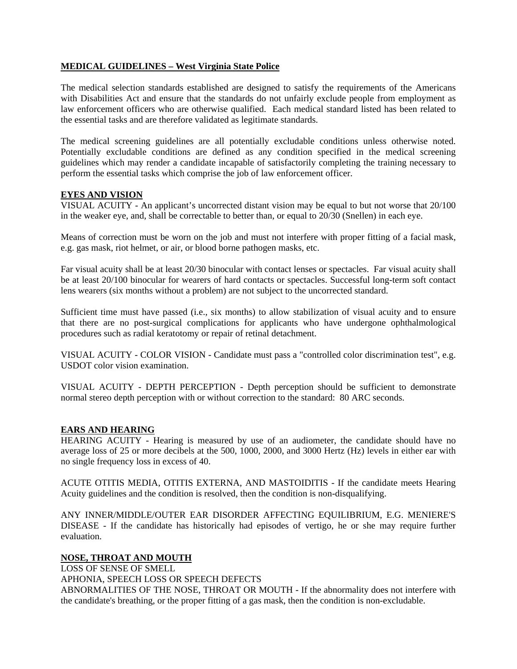## **MEDICAL GUIDELINES – West Virginia State Police**

The medical selection standards established are designed to satisfy the requirements of the Americans with Disabilities Act and ensure that the standards do not unfairly exclude people from employment as law enforcement officers who are otherwise qualified. Each medical standard listed has been related to the essential tasks and are therefore validated as legitimate standards.

The medical screening guidelines are all potentially excludable conditions unless otherwise noted. Potentially excludable conditions are defined as any condition specified in the medical screening guidelines which may render a candidate incapable of satisfactorily completing the training necessary to perform the essential tasks which comprise the job of law enforcement officer.

### **EYES AND VISION**

VISUAL ACUITY - An applicant's uncorrected distant vision may be equal to but not worse that 20/100 in the weaker eye, and, shall be correctable to better than, or equal to 20/30 (Snellen) in each eye.

Means of correction must be worn on the job and must not interfere with proper fitting of a facial mask, e.g. gas mask, riot helmet, or air, or blood borne pathogen masks, etc.

Far visual acuity shall be at least 20/30 binocular with contact lenses or spectacles. Far visual acuity shall be at least 20/100 binocular for wearers of hard contacts or spectacles. Successful long-term soft contact lens wearers (six months without a problem) are not subject to the uncorrected standard.

Sufficient time must have passed (i.e., six months) to allow stabilization of visual acuity and to ensure that there are no post-surgical complications for applicants who have undergone ophthalmological procedures such as radial keratotomy or repair of retinal detachment.

VISUAL ACUITY - COLOR VISION - Candidate must pass a "controlled color discrimination test", e.g. USDOT color vision examination.

VISUAL ACUITY - DEPTH PERCEPTION - Depth perception should be sufficient to demonstrate normal stereo depth perception with or without correction to the standard: 80 ARC seconds.

## **EARS AND HEARING**

HEARING ACUITY - Hearing is measured by use of an audiometer, the candidate should have no average loss of 25 or more decibels at the 500, 1000, 2000, and 3000 Hertz (Hz) levels in either ear with no single frequency loss in excess of 40.

ACUTE OTITIS MEDIA, OTITIS EXTERNA, AND MASTOIDITIS - If the candidate meets Hearing Acuity guidelines and the condition is resolved, then the condition is non-disqualifying.

ANY INNER/MIDDLE/OUTER EAR DISORDER AFFECTING EQUILIBRIUM, E.G. MENIERE'S DISEASE - If the candidate has historically had episodes of vertigo, he or she may require further evaluation.

# **NOSE, THROAT AND MOUTH**

LOSS OF SENSE OF SMELL

APHONIA, SPEECH LOSS OR SPEECH DEFECTS ABNORMALITIES OF THE NOSE, THROAT OR MOUTH - If the abnormality does not interfere with the candidate's breathing, or the proper fitting of a gas mask, then the condition is non-excludable.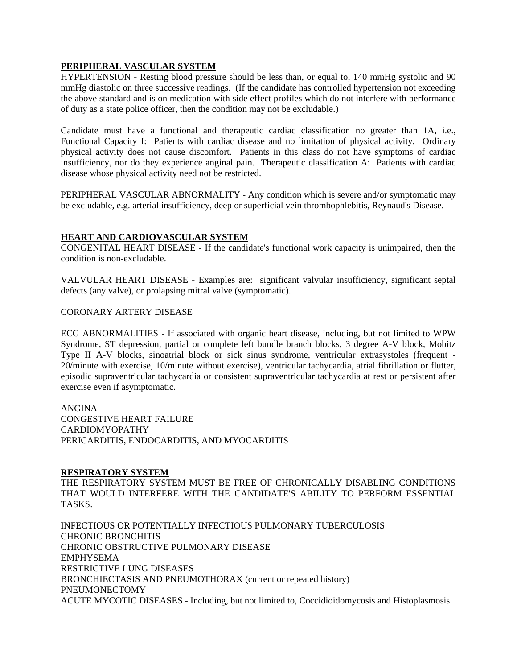# **PERIPHERAL VASCULAR SYSTEM**

HYPERTENSION - Resting blood pressure should be less than, or equal to, 140 mmHg systolic and 90 mmHg diastolic on three successive readings. (If the candidate has controlled hypertension not exceeding the above standard and is on medication with side effect profiles which do not interfere with performance of duty as a state police officer, then the condition may not be excludable.)

Candidate must have a functional and therapeutic cardiac classification no greater than 1A, i.e., Functional Capacity I: Patients with cardiac disease and no limitation of physical activity. Ordinary physical activity does not cause discomfort. Patients in this class do not have symptoms of cardiac insufficiency, nor do they experience anginal pain. Therapeutic classification A: Patients with cardiac disease whose physical activity need not be restricted.

PERIPHERAL VASCULAR ABNORMALITY - Any condition which is severe and/or symptomatic may be excludable, e.g. arterial insufficiency, deep or superficial vein thrombophlebitis, Reynaud's Disease.

# **HEART AND CARDIOVASCULAR SYSTEM**

CONGENITAL HEART DISEASE - If the candidate's functional work capacity is unimpaired, then the condition is non-excludable.

VALVULAR HEART DISEASE - Examples are: significant valvular insufficiency, significant septal defects (any valve), or prolapsing mitral valve (symptomatic).

### CORONARY ARTERY DISEASE

ECG ABNORMALITIES - If associated with organic heart disease, including, but not limited to WPW Syndrome, ST depression, partial or complete left bundle branch blocks, 3 degree A-V block, Mobitz Type II A-V blocks, sinoatrial block or sick sinus syndrome, ventricular extrasystoles (frequent - 20/minute with exercise, 10/minute without exercise), ventricular tachycardia, atrial fibrillation or flutter, episodic supraventricular tachycardia or consistent supraventricular tachycardia at rest or persistent after exercise even if asymptomatic.

ANGINA CONGESTIVE HEART FAILURE CARDIOMYOPATHY PERICARDITIS, ENDOCARDITIS, AND MYOCARDITIS

#### **RESPIRATORY SYSTEM**

THE RESPIRATORY SYSTEM MUST BE FREE OF CHRONICALLY DISABLING CONDITIONS THAT WOULD INTERFERE WITH THE CANDIDATE'S ABILITY TO PERFORM ESSENTIAL TASKS.

INFECTIOUS OR POTENTIALLY INFECTIOUS PULMONARY TUBERCULOSIS CHRONIC BRONCHITIS CHRONIC OBSTRUCTIVE PULMONARY DISEASE EMPHYSEMA RESTRICTIVE LUNG DISEASES BRONCHIECTASIS AND PNEUMOTHORAX (current or repeated history) PNEUMONECTOMY ACUTE MYCOTIC DISEASES - Including, but not limited to, Coccidioidomycosis and Histoplasmosis.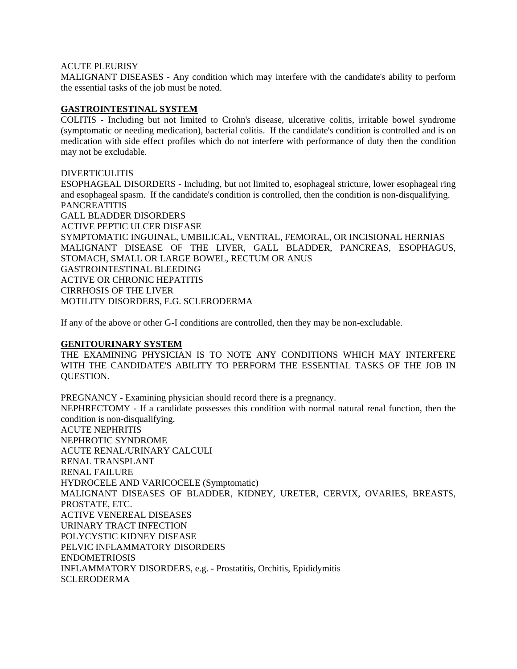### ACUTE PLEURISY

MALIGNANT DISEASES - Any condition which may interfere with the candidate's ability to perform the essential tasks of the job must be noted.

### **GASTROINTESTINAL SYSTEM**

COLITIS - Including but not limited to Crohn's disease, ulcerative colitis, irritable bowel syndrome (symptomatic or needing medication), bacterial colitis. If the candidate's condition is controlled and is on medication with side effect profiles which do not interfere with performance of duty then the condition may not be excludable.

#### DIVERTICULITIS

ESOPHAGEAL DISORDERS - Including, but not limited to, esophageal stricture, lower esophageal ring and esophageal spasm. If the candidate's condition is controlled, then the condition is non-disqualifying. **PANCREATITIS** GALL BLADDER DISORDERS ACTIVE PEPTIC ULCER DISEASE SYMPTOMATIC INGUINAL, UMBILICAL, VENTRAL, FEMORAL, OR INCISIONAL HERNIAS MALIGNANT DISEASE OF THE LIVER, GALL BLADDER, PANCREAS, ESOPHAGUS, STOMACH, SMALL OR LARGE BOWEL, RECTUM OR ANUS GASTROINTESTINAL BLEEDING ACTIVE OR CHRONIC HEPATITIS CIRRHOSIS OF THE LIVER MOTILITY DISORDERS, E.G. SCLERODERMA

If any of the above or other G-I conditions are controlled, then they may be non-excludable.

## **GENITOURINARY SYSTEM**

THE EXAMINING PHYSICIAN IS TO NOTE ANY CONDITIONS WHICH MAY INTERFERE WITH THE CANDIDATE'S ABILITY TO PERFORM THE ESSENTIAL TASKS OF THE JOB IN QUESTION.

PREGNANCY - Examining physician should record there is a pregnancy. NEPHRECTOMY - If a candidate possesses this condition with normal natural renal function, then the condition is non-disqualifying. ACUTE NEPHRITIS NEPHROTIC SYNDROME ACUTE RENAL/URINARY CALCULI RENAL TRANSPLANT RENAL FAILURE HYDROCELE AND VARICOCELE (Symptomatic) MALIGNANT DISEASES OF BLADDER, KIDNEY, URETER, CERVIX, OVARIES, BREASTS, PROSTATE, ETC. ACTIVE VENEREAL DISEASES URINARY TRACT INFECTION POLYCYSTIC KIDNEY DISEASE PELVIC INFLAMMATORY DISORDERS ENDOMETRIOSIS INFLAMMATORY DISORDERS, e.g. - Prostatitis, Orchitis, Epididymitis SCLERODERMA